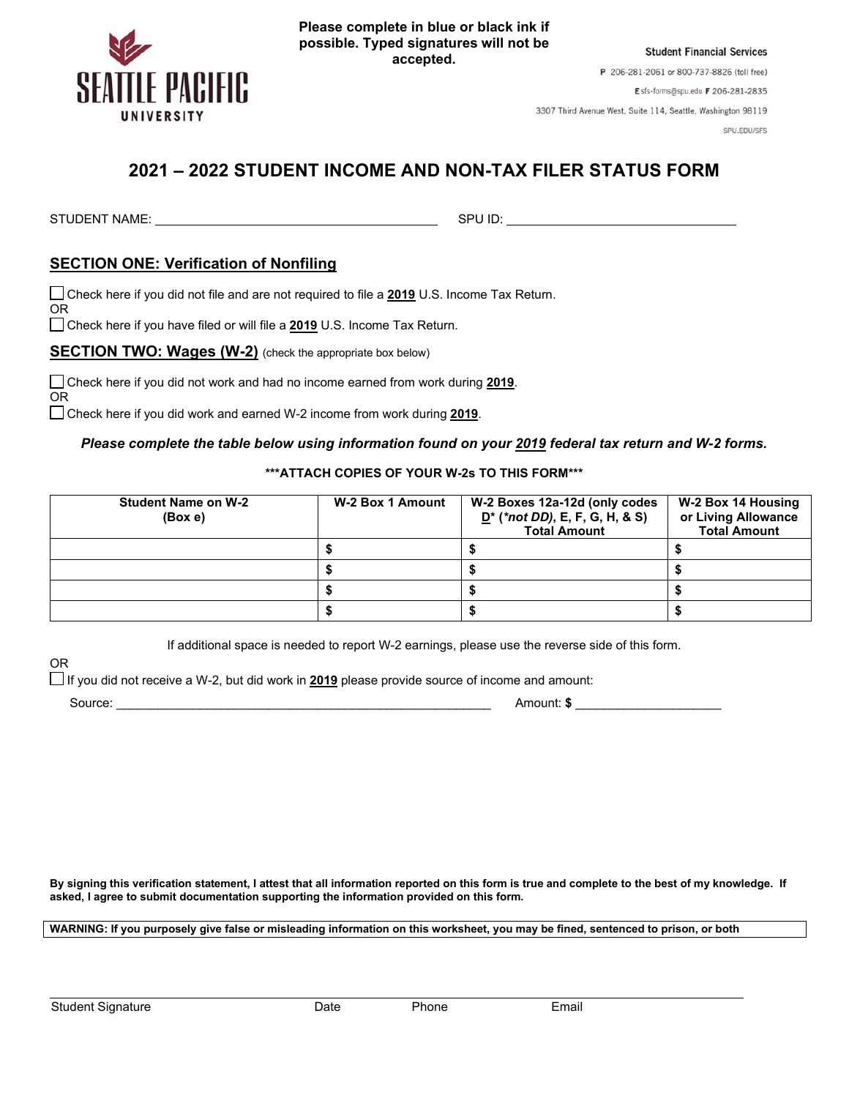

**Please complete in blue or black ink if possible. Typed signatures will not be accepted.**

**Student Financial Services** P 206-281-2061 or 800-737-8826 (toll free) Esfs-forms@spu.edu F 206-281-2835

3307 Third Avenue West, Suite 114, Seattle, Washington 98119

SPU.EDU/SFS

## **2021 – 2022 STUDENT INCOME AND NON-TAX FILER STATUS FORM**

STUDENT NAME: SPU ID:

OR

OR

## **SECTION ONE: Verification of Nonfiling**

Check here if you did not file and are not required to file a **2019** U.S. Income Tax Return.

Check here if you have filed or will file a **2019** U.S. Income Tax Return.

**SECTION TWO: Wages (W-2)** (check the appropriate box below)

Check here if you did not work and had no income earned from work during **2019**.

Check here if you did work and earned W-2 income from work during **2019**.

## *Please complete the table below using information found on your 2019 federal tax return and W-2 forms.*

**\*\*\*ATTACH COPIES OF YOUR W-2s TO THIS FORM\*\*\***

| <b>Student Name on W-2</b><br>(Box e) | W-2 Box 1 Amount | W-2 Boxes 12a-12d (only codes<br>$D^*$ (*not DD), E, F, G, H, & S)<br><b>Total Amount</b> | W-2 Box 14 Housing<br>or Living Allowance<br><b>Total Amount</b> |
|---------------------------------------|------------------|-------------------------------------------------------------------------------------------|------------------------------------------------------------------|
|                                       |                  |                                                                                           |                                                                  |
|                                       |                  |                                                                                           |                                                                  |
|                                       |                  |                                                                                           |                                                                  |
|                                       |                  |                                                                                           |                                                                  |

If additional space is needed to report W-2 earnings, please use the reverse side of this form.

If you did not receive a W-2, but did work in **2019** please provide source of income and amount:

OR

Source: \_\_\_\_\_\_\_\_\_\_\_\_\_\_\_\_\_\_\_\_\_\_\_\_\_\_\_\_\_\_\_\_\_\_\_\_\_\_\_\_\_\_\_\_\_\_\_\_\_\_\_\_\_\_ Amount: **\$** \_\_\_\_\_\_\_\_\_\_\_\_\_\_\_\_\_\_\_\_\_

**By signing this verification statement, I attest that all information reported on this form is true and complete to the best of my knowledge. If asked, I agree to submit documentation supporting the information provided on this form.**

**WARNING: If you purposely give false or misleading information on this worksheet, you may be fined, sentenced to prison, or both**